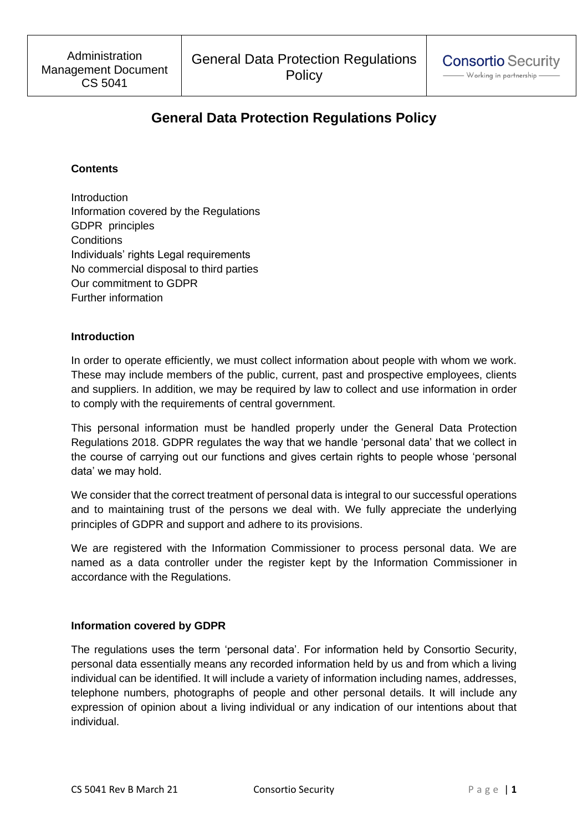# **General Data Protection Regulations Policy**

## **Contents**

**Introduction** Information covered by the Regulations GDPR principles **Conditions** Individuals' rights Legal requirements No commercial disposal to third parties Our commitment to GDPR Further information

## **Introduction**

In order to operate efficiently, we must collect information about people with whom we work. These may include members of the public, current, past and prospective employees, clients and suppliers. In addition, we may be required by law to collect and use information in order to comply with the requirements of central government.

This personal information must be handled properly under the General Data Protection Regulations 2018. GDPR regulates the way that we handle 'personal data' that we collect in the course of carrying out our functions and gives certain rights to people whose 'personal data' we may hold.

We consider that the correct treatment of personal data is integral to our successful operations and to maintaining trust of the persons we deal with. We fully appreciate the underlying principles of GDPR and support and adhere to its provisions.

We are registered with the Information Commissioner to process personal data. We are named as a data controller under the register kept by the Information Commissioner in accordance with the Regulations.

## **Information covered by GDPR**

The regulations uses the term 'personal data'. For information held by Consortio Security, personal data essentially means any recorded information held by us and from which a living individual can be identified. It will include a variety of information including names, addresses, telephone numbers, photographs of people and other personal details. It will include any expression of opinion about a living individual or any indication of our intentions about that individual.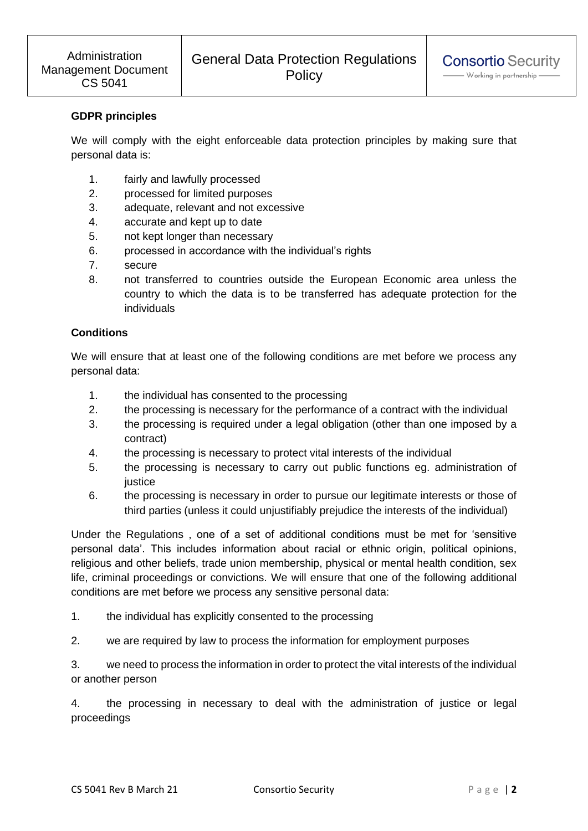## **GDPR principles**

We will comply with the eight enforceable data protection principles by making sure that personal data is:

- 1. fairly and lawfully processed
- 2. processed for limited purposes
- 3. adequate, relevant and not excessive
- 4. accurate and kept up to date
- 5. not kept longer than necessary
- 6. processed in accordance with the individual's rights
- 7. secure
- 8. not transferred to countries outside the European Economic area unless the country to which the data is to be transferred has adequate protection for the individuals

## **Conditions**

We will ensure that at least one of the following conditions are met before we process any personal data:

- 1. the individual has consented to the processing
- 2. the processing is necessary for the performance of a contract with the individual
- 3. the processing is required under a legal obligation (other than one imposed by a contract)
- 4. the processing is necessary to protect vital interests of the individual
- 5. the processing is necessary to carry out public functions eg. administration of iustice
- 6. the processing is necessary in order to pursue our legitimate interests or those of third parties (unless it could unjustifiably prejudice the interests of the individual)

Under the Regulations , one of a set of additional conditions must be met for 'sensitive personal data'. This includes information about racial or ethnic origin, political opinions, religious and other beliefs, trade union membership, physical or mental health condition, sex life, criminal proceedings or convictions. We will ensure that one of the following additional conditions are met before we process any sensitive personal data:

1. the individual has explicitly consented to the processing

2. we are required by law to process the information for employment purposes

3. we need to process the information in order to protect the vital interests of the individual or another person

4. the processing in necessary to deal with the administration of justice or legal proceedings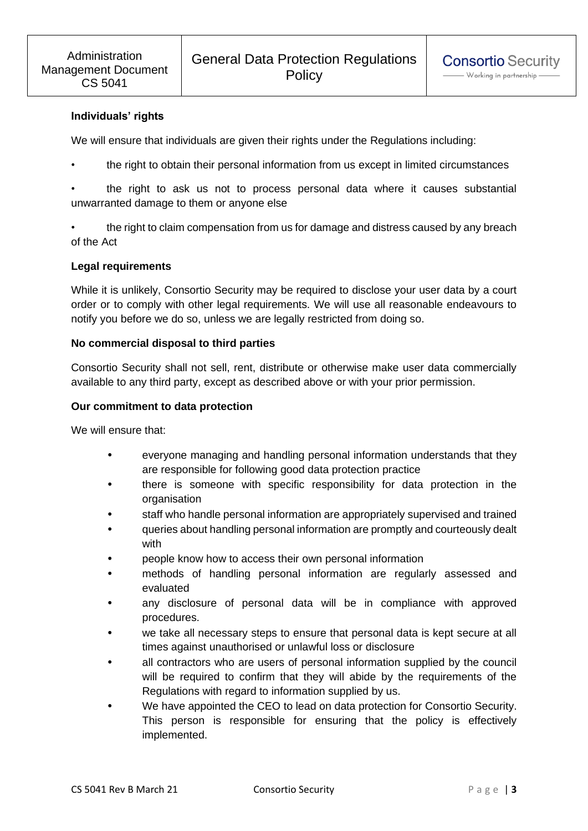# **Individuals' rights**

We will ensure that individuals are given their rights under the Regulations including:

the right to obtain their personal information from us except in limited circumstances

• the right to ask us not to process personal data where it causes substantial unwarranted damage to them or anyone else

• the right to claim compensation from us for damage and distress caused by any breach of the Act

## **Legal requirements**

While it is unlikely, Consortio Security may be required to disclose your user data by a court order or to comply with other legal requirements. We will use all reasonable endeavours to notify you before we do so, unless we are legally restricted from doing so.

#### **No commercial disposal to third parties**

Consortio Security shall not sell, rent, distribute or otherwise make user data commercially available to any third party, except as described above or with your prior permission.

#### **Our commitment to data protection**

We will ensure that:

- everyone managing and handling personal information understands that they are responsible for following good data protection practice
- there is someone with specific responsibility for data protection in the organisation
- staff who handle personal information are appropriately supervised and trained
- queries about handling personal information are promptly and courteously dealt with
- people know how to access their own personal information
- methods of handling personal information are regularly assessed and evaluated
- any disclosure of personal data will be in compliance with approved procedures.
- we take all necessary steps to ensure that personal data is kept secure at all times against unauthorised or unlawful loss or disclosure
- all contractors who are users of personal information supplied by the council will be required to confirm that they will abide by the requirements of the Regulations with regard to information supplied by us.
- We have appointed the CEO to lead on data protection for Consortio Security. This person is responsible for ensuring that the policy is effectively implemented.